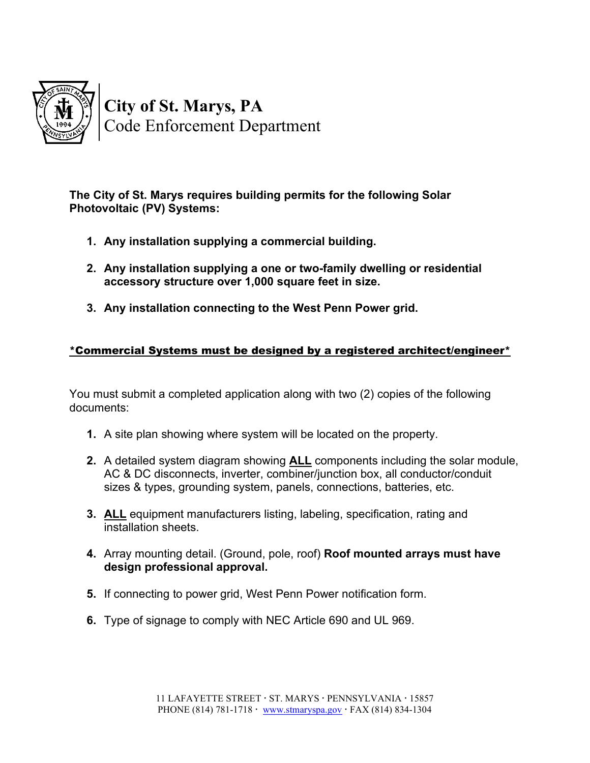

**The City of St. Marys requires building permits for the following Solar Photovoltaic (PV) Systems:**

- **1. Any installation supplying a commercial building.**
- **2. Any installation supplying a one or two-family dwelling or residential accessory structure over 1,000 square feet in size.**
- **3. Any installation connecting to the West Penn Power grid.**

## \*Commercial Systems must be designed by a registered architect/engineer\*

You must submit a completed application along with two (2) copies of the following documents:

- **1.** A site plan showing where system will be located on the property.
- **2.** A detailed system diagram showing **ALL** components including the solar module, AC & DC disconnects, inverter, combiner/junction box, all conductor/conduit sizes & types, grounding system, panels, connections, batteries, etc.
- **3. ALL** equipment manufacturers listing, labeling, specification, rating and installation sheets.
- **4.** Array mounting detail. (Ground, pole, roof) **Roof mounted arrays must have design professional approval.**
- **5.** If connecting to power grid, West Penn Power notification form.
- **6.** Type of signage to comply with NEC Article 690 and UL 969.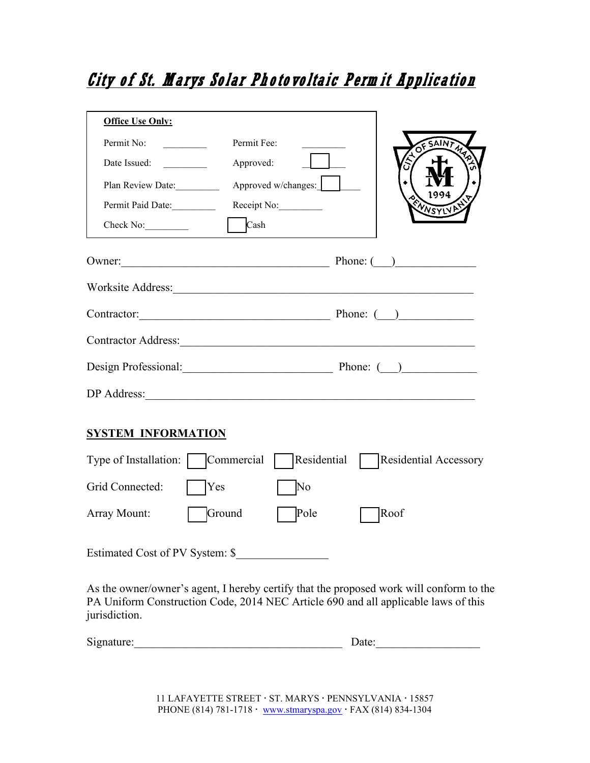## City of St. Marys Solar Photovoltaic Perm it Application

| <b>Office Use Only:</b>                                                                                                                                                       |
|-------------------------------------------------------------------------------------------------------------------------------------------------------------------------------|
| Permit No:<br>Permit Fee:<br>OF SAINT MA                                                                                                                                      |
| Date Issued:<br>Approved:                                                                                                                                                     |
| Approved w/changes:<br>Plan Review Date:<br>1994                                                                                                                              |
| ENNSYLVA<br>Permit Paid Date:<br>Receipt No:                                                                                                                                  |
| $\vert$ Cash<br>Check No:                                                                                                                                                     |
| Owner: Phone: ( )                                                                                                                                                             |
| Worksite Address:                                                                                                                                                             |
| Contractor: Phone: ( )                                                                                                                                                        |
| Contractor Address: North Contractor Address:                                                                                                                                 |
| Design Professional: Phone: ( )                                                                                                                                               |
| DP Address:                                                                                                                                                                   |
| <b>SYSTEM INFORMATION</b>                                                                                                                                                     |
| Residential<br>Type of Installation:<br>Commercial<br><b>Residential Accessory</b>                                                                                            |
| Grid Connected:<br>No<br>Yes                                                                                                                                                  |
| Ground<br>Pole<br>Roof<br>Array Mount:                                                                                                                                        |
| Estimated Cost of PV System: \$                                                                                                                                               |
| As the owner/owner's agent, I hereby certify that the proposed work will conform to the<br>PA Uniform Construction Code, 2014 NEC Article 690 and all applicable laws of this |

Signature:\_\_\_\_\_\_\_\_\_\_\_\_\_\_\_\_\_\_\_\_\_\_\_\_\_\_\_\_\_\_\_\_\_\_\_\_ Date:\_\_\_\_\_\_\_\_\_\_\_\_\_\_\_\_\_\_

jurisdiction.

11 LAFAYETTE STREET · ST. MARYS · PENNSYLVANIA · 15857 PHONE (814) 781-1718 · [www.stmaryspa.gov](http://www.cityofstmaryspa.gov/) · FAX (814) 834-1304